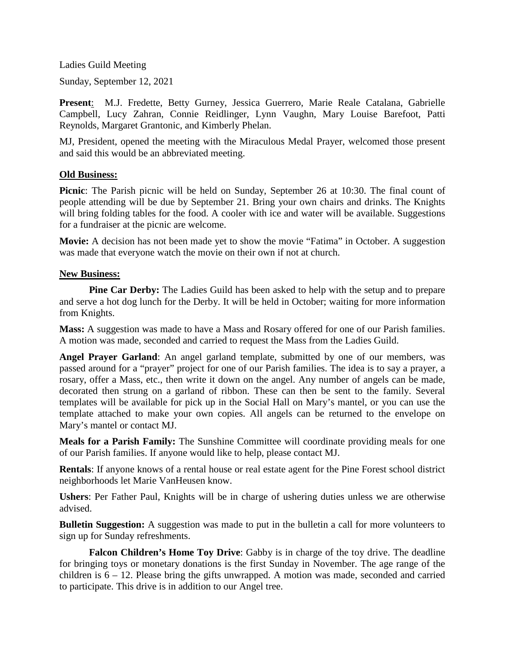Ladies Guild Meeting

Sunday, September 12, 2021

**Present**: M.J. Fredette, Betty Gurney, Jessica Guerrero, Marie Reale Catalana, Gabrielle Campbell, Lucy Zahran, Connie Reidlinger, Lynn Vaughn, Mary Louise Barefoot, Patti Reynolds, Margaret Grantonic, and Kimberly Phelan.

MJ, President, opened the meeting with the Miraculous Medal Prayer, welcomed those present and said this would be an abbreviated meeting.

## **Old Business:**

**Picnic**: The Parish picnic will be held on Sunday, September 26 at 10:30. The final count of people attending will be due by September 21. Bring your own chairs and drinks. The Knights will bring folding tables for the food. A cooler with ice and water will be available. Suggestions for a fundraiser at the picnic are welcome.

**Movie:** A decision has not been made yet to show the movie "Fatima" in October. A suggestion was made that everyone watch the movie on their own if not at church.

## **New Business:**

**Pine Car Derby:** The Ladies Guild has been asked to help with the setup and to prepare and serve a hot dog lunch for the Derby. It will be held in October; waiting for more information from Knights.

**Mass:** A suggestion was made to have a Mass and Rosary offered for one of our Parish families. A motion was made, seconded and carried to request the Mass from the Ladies Guild.

**Angel Prayer Garland**: An angel garland template, submitted by one of our members, was passed around for a "prayer" project for one of our Parish families. The idea is to say a prayer, a rosary, offer a Mass, etc., then write it down on the angel. Any number of angels can be made, decorated then strung on a garland of ribbon. These can then be sent to the family. Several templates will be available for pick up in the Social Hall on Mary's mantel, or you can use the template attached to make your own copies. All angels can be returned to the envelope on Mary's mantel or contact MJ.

**Meals for a Parish Family:** The Sunshine Committee will coordinate providing meals for one of our Parish families. If anyone would like to help, please contact MJ.

**Rentals**: If anyone knows of a rental house or real estate agent for the Pine Forest school district neighborhoods let Marie VanHeusen know.

**Ushers**: Per Father Paul, Knights will be in charge of ushering duties unless we are otherwise advised.

**Bulletin Suggestion:** A suggestion was made to put in the bulletin a call for more volunteers to sign up for Sunday refreshments.

**Falcon Children's Home Toy Drive**: Gabby is in charge of the toy drive. The deadline for bringing toys or monetary donations is the first Sunday in November. The age range of the children is  $6 - 12$ . Please bring the gifts unwrapped. A motion was made, seconded and carried to participate. This drive is in addition to our Angel tree.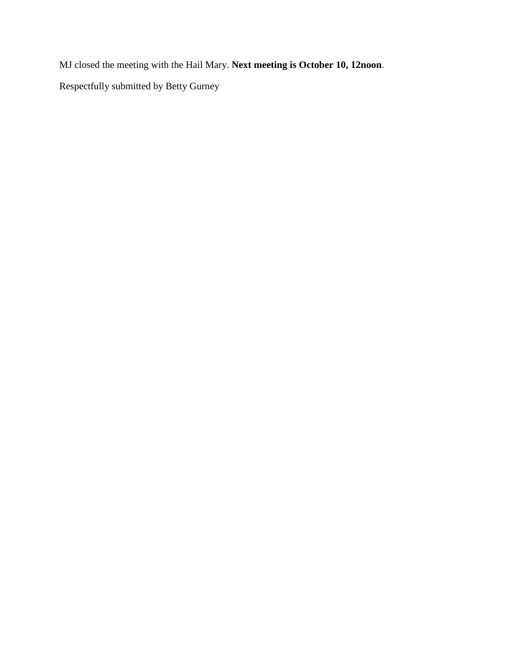MJ closed the meeting with the Hail Mary. **Next meeting is October 10, 12noon**. Respectfully submitted by Betty Gurney